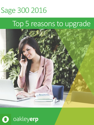# Sage 300 2016

# Top 5 reasons to upgrade



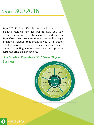## Sage 300 2016

Sage 300 2016 is officially available in the UK and includes multiple new features to help you gain greater control over your business and work smarter. Sage 300 connects your entire operation with a single, integrated solution that provides you with greater visibility, making it easier to share information and communicate. Upgrade today to take advantage of the customer driven enhancements

# **Business**

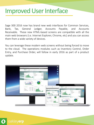#### Improved User Interface

Sage 300 2016 now has brand new web interfaces for Common Services, Bank, Tax, General Ledger, Accounts Payable, and Accounts Receivable. These new HTML-based screens are compatible with all the main web browsers (i.e. Internet Explorer, Chrome, etc) and you can access them from a wide variety of devices.

You can leverage these modern web screens without being forced to move to the cloud. The operations modules such as Inventory Control, Order Entry, and Purchase Order, will follow in early 2016 as part of a product update.



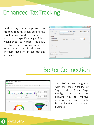#### Enhanced Tax Tracking

Add clarity with improved tax tracking reports. When printing the Tax Tracking report by fiscal period, you can now specify a range of fiscal year/periods to include. This allow you to run tax reporting on periods other than the fiscal year to increase flexibility in tax tracking and planning.

| 뤔                                                         | <b>Tax Tracking Report</b> |                    | ×<br><b>IO IN</b> |
|-----------------------------------------------------------|----------------------------|--------------------|-------------------|
| File<br>Help                                              |                            |                    |                   |
| From Tax Authority<br>Print Amounts In                    | Source Currency            | Q To Tax Authority | 222222222222<br>Q |
| Report By<br>C Fiscal Period<br><b>Document Date</b>      | Report As Of               | Year/Period        | 2014 - 05 回       |
| Print By<br><sup>O</sup> Tax Authority<br>tem Tax Class   |                            |                    |                   |
| <b>Transaction Type</b><br>Clear Tax Tracking Information | <b>Sales</b>               |                    |                   |
| Print                                                     |                            |                    | Close             |

#### Better Connection



Sage 300 is now integrated with the latest versions of Sage CRM (7.3) and Sage Intelligence Reporting (7.6) allowing you to improve effectiveness and make better decisions across your business.

oakleyerp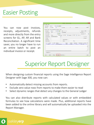#### Easier Posting

You can now post invoices, receipts, adjustments, refunds and more directly from the entry screens for GL, AP, AR and Bank Reconciliation. A significant time saver, you no longer have to run an entire batch to post an individual invoice or receipt.

oakleyerp

| <b>Batch Date</b> |                       | 36   H & O W<br>12/17/2015                             |                      | $\sqrt{2}$<br><b>Total Amount</b><br>No. of Entries |                         |                                | 129,090     |              |  |
|-------------------|-----------------------|--------------------------------------------------------|----------------------|-----------------------------------------------------|-------------------------|--------------------------------|-------------|--------------|--|
|                   |                       |                                                        |                      |                                                     |                         |                                |             |              |  |
|                   |                       | Document Taxes Terms Optional Fields Sales Splt Totals |                      |                                                     |                         |                                |             |              |  |
| Entry Number      | 144                   | 1<br>H Q Q                                             | hem                  |                                                     |                         | Entered By                     | ADMIN       |              |  |
| Customer Number   | 1200                  | 900                                                    | Mr. Ronald Black     |                                                     |                         | <b>Invoice Printed</b>         | No          |              |  |
| Ship-To Location  |                       | <b>AOM</b>                                             |                      |                                                     |                         | Account Set USA                |             | Q            |  |
| Document Type     | Invoice               | Document Date                                          | 12/17/2015<br>m      | Posting Date                                        | 12/17/2015<br>r         | $2015 - 12$                    |             |              |  |
| Document Number   | IN0000000000000000012 | $\overline{\omega}$                                    |                      |                                                     |                         |                                | Job Related |              |  |
| PO Number         |                       |                                                        |                      |                                                     |                         |                                | Retainage   |              |  |
| Order Number      |                       |                                                        | Special Instructions |                                                     |                         |                                |             |              |  |
|                   |                       |                                                        |                      |                                                     |                         |                                |             |              |  |
| Shipment Number   |                       |                                                        | Ship Via             |                                                     | $\mathbf{Q}_\mathrm{c}$ |                                |             |              |  |
| Lin., Q. Item No. | Q UOM                 | Description                                            | Quantity             | <b>Unit Price</b>                                   | Extended Ant.           | Extended Cost Q Dist. Code F ^ |             |              |  |
|                   |                       | Swivel Mounting Bracket                                | 1.00000              | 117,000000                                          | 117.00                  | 55.50 ITEM                     |             |              |  |
| 1 BK-360          | EA                    |                                                        |                      |                                                     |                         |                                |             |              |  |
|                   |                       |                                                        |                      |                                                     |                         |                                |             |              |  |
|                   |                       |                                                        |                      |                                                     |                         |                                |             |              |  |
|                   |                       |                                                        |                      |                                                     |                         |                                |             |              |  |
|                   |                       |                                                        |                      |                                                     |                         |                                |             | $\checkmark$ |  |

## Superior Report Designer

When designing custom financial reports using the Sage Intelligence Report Designer with Sage 300, you now can:

- Automatically detect missing accounts from reports.
- Exclude zero value rows from reports to make them easier to read
- Select dynamic ranges that detect any changes to the General Ledger

You can also distribute reports with calculated values or with embedded formulas to see how calculations were made. Plus, additional reports have been added to the online library and will automatically be uploaded into the Report Manager.